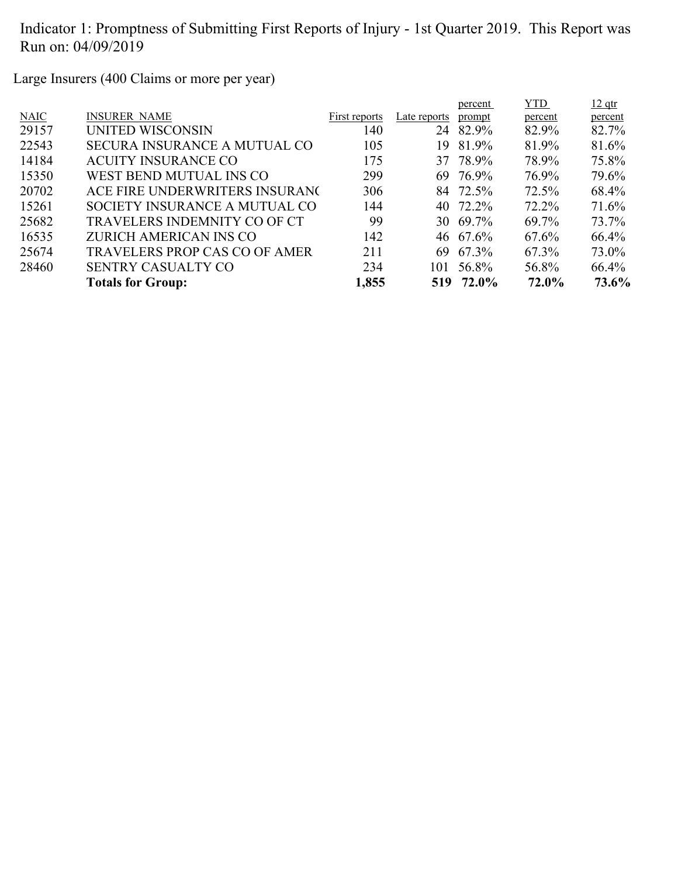Large Insurers (400 Claims or more per year)

|             |                                      |               |              | percent   | <b>YTD</b> | $12$ qtr |
|-------------|--------------------------------------|---------------|--------------|-----------|------------|----------|
| <b>NAIC</b> | <b>INSURER NAME</b>                  | First reports | Late reports | prompt    | percent    | percent  |
| 29157       | <b>UNITED WISCONSIN</b>              | 140           | 24           | 82.9%     | 82.9%      | 82.7%    |
| 22543       | <b>SECURA INSURANCE A MUTUAL CO</b>  | 105           | 19           | 81.9%     | 81.9%      | 81.6%    |
| 14184       | <b>ACUITY INSURANCE CO</b>           | 175           |              | 37 78.9%  | 78.9%      | 75.8%    |
| 15350       | WEST BEND MUTUAL INS CO              | 299           | 69           | 76.9%     | 76.9%      | 79.6%    |
| 20702       | ACE FIRE UNDERWRITERS INSURANC       | 306           |              | 84 72.5%  | 72.5%      | 68.4%    |
| 15261       | SOCIETY INSURANCE A MUTUAL CO        | 144           |              | 40 72.2%  | $72.2\%$   | 71.6%    |
| 25682       | TRAVELERS INDEMNITY CO OF CT         | 99            | 30           | 69.7%     | 69.7%      | 73.7%    |
| 16535       | ZURICH AMERICAN INS CO               | 142           |              | 46 67.6%  | $67.6\%$   | 66.4%    |
| 25674       | <b>TRAVELERS PROP CAS CO OF AMER</b> | 211           | 69           | 67.3%     | 67.3%      | 73.0%    |
| 28460       | <b>SENTRY CASUALTY CO</b>            | 234           | 101          | 56.8%     | 56.8%      | 66.4%    |
|             | <b>Totals for Group:</b>             | 1,855         |              | 519 72.0% | 72.0%      | 73.6%    |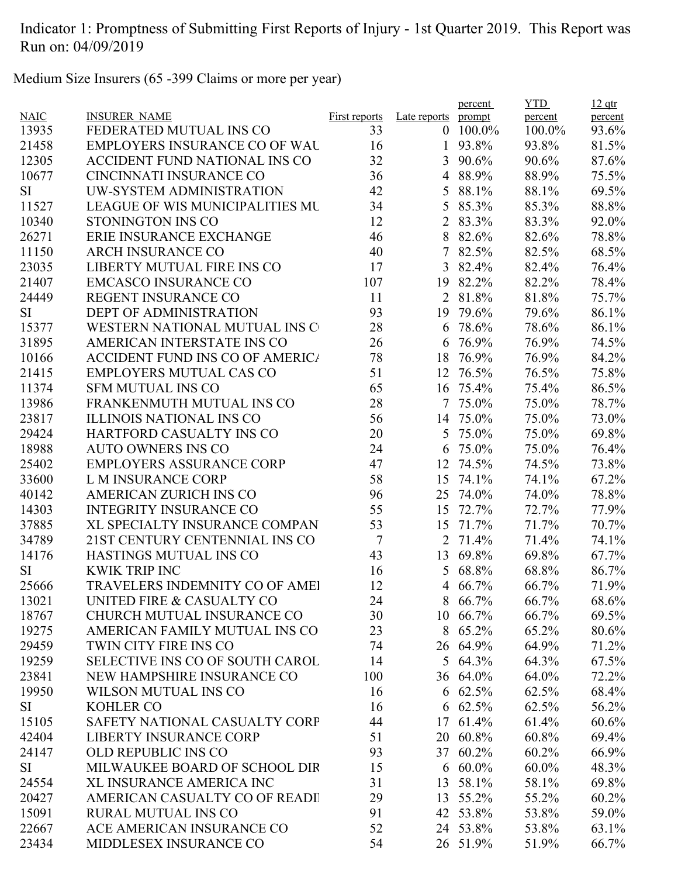Medium Size Insurers (65 -399 Claims or more per year)

|             |                                        |                      |                | percent         | <b>YTD</b> | $12$ qtr |
|-------------|----------------------------------------|----------------------|----------------|-----------------|------------|----------|
| <b>NAIC</b> | <b>INSURER NAME</b>                    | <b>First reports</b> | Late reports   | prompt          | percent    | percent  |
| 13935       | FEDERATED MUTUAL INS CO                | 33                   | $\mathbf{0}$   | 100.0%          | 100.0%     | 93.6%    |
| 21458       | <b>EMPLOYERS INSURANCE CO OF WAL</b>   | 16                   | 1              | 93.8%           | 93.8%      | 81.5%    |
| 12305       | ACCIDENT FUND NATIONAL INS CO          | 32                   | 3              | 90.6%           | 90.6%      | 87.6%    |
| 10677       | <b>CINCINNATI INSURANCE CO</b>         | 36                   | 4              | 88.9%           | 88.9%      | 75.5%    |
| <b>SI</b>   | UW-SYSTEM ADMINISTRATION               | 42                   | 5              | 88.1%           | 88.1%      | 69.5%    |
| 11527       | <b>LEAGUE OF WIS MUNICIPALITIES MU</b> | 34                   | 5              | 85.3%           | 85.3%      | 88.8%    |
| 10340       | STONINGTON INS CO                      | 12                   | $\overline{2}$ | 83.3%           | 83.3%      | 92.0%    |
| 26271       | ERIE INSURANCE EXCHANGE                | 46                   | 8              | 82.6%           | 82.6%      | 78.8%    |
| 11150       | <b>ARCH INSURANCE CO</b>               | 40                   | 7              | 82.5%           | 82.5%      | 68.5%    |
| 23035       | LIBERTY MUTUAL FIRE INS CO             | 17                   | 3              | 82.4%           | 82.4%      | 76.4%    |
| 21407       | <b>EMCASCO INSURANCE CO</b>            | 107                  | 19             | 82.2%           | 82.2%      | 78.4%    |
| 24449       | REGENT INSURANCE CO                    | 11                   | $\overline{2}$ | 81.8%           | 81.8%      | 75.7%    |
| <b>SI</b>   | <b>DEPT OF ADMINISTRATION</b>          | 93                   | 19             | 79.6%           | 79.6%      | 86.1%    |
| 15377       | WESTERN NATIONAL MUTUAL INS C          | 28                   | 6              | 78.6%           | 78.6%      | 86.1%    |
| 31895       | AMERICAN INTERSTATE INS CO             | 26                   | 6              | 76.9%           | 76.9%      | 74.5%    |
| 10166       | <b>ACCIDENT FUND INS CO OF AMERICA</b> | 78                   | 18             | 76.9%           | 76.9%      | 84.2%    |
| 21415       | <b>EMPLOYERS MUTUAL CAS CO</b>         | 51                   | 12             | 76.5%           | 76.5%      | 75.8%    |
| 11374       | <b>SFM MUTUAL INS CO</b>               | 65                   |                | 16 75.4%        | 75.4%      | 86.5%    |
| 13986       | FRANKENMUTH MUTUAL INS CO              | 28                   | $\overline{7}$ | 75.0%           | 75.0%      | 78.7%    |
| 23817       | <b>ILLINOIS NATIONAL INS CO</b>        | 56                   |                | 14 75.0%        | 75.0%      | 73.0%    |
| 29424       | HARTFORD CASUALTY INS CO               | 20                   | 5              | 75.0%           | 75.0%      | 69.8%    |
| 18988       | <b>AUTO OWNERS INS CO</b>              | 24                   | 6              | 75.0%           | 75.0%      | 76.4%    |
| 25402       | <b>EMPLOYERS ASSURANCE CORP</b>        | 47                   | 12             | 74.5%           | 74.5%      | 73.8%    |
| 33600       | L M INSURANCE CORP                     | 58                   | 15             | 74.1%           | 74.1%      | 67.2%    |
| 40142       | <b>AMERICAN ZURICH INS CO</b>          | 96                   | 25             | 74.0%           | 74.0%      | 78.8%    |
| 14303       | <b>INTEGRITY INSURANCE CO</b>          | 55                   | 15             | 72.7%           | 72.7%      | 77.9%    |
| 37885       | XL SPECIALTY INSURANCE COMPAN          | 53                   | 15             | 71.7%           | 71.7%      | 70.7%    |
| 34789       | 21ST CENTURY CENTENNIAL INS CO         | 7                    | 2              | 71.4%           | 71.4%      | 74.1%    |
| 14176       | HASTINGS MUTUAL INS CO                 | 43                   | 13             | 69.8%           | 69.8%      | 67.7%    |
| SI          | <b>KWIK TRIP INC</b>                   | 16                   | 5              | 68.8%           | 68.8%      | 86.7%    |
| 25666       | TRAVELERS INDEMNITY CO OF AMEI         | 12                   | $\overline{4}$ | 66.7%           | 66.7%      | 71.9%    |
| 13021       | UNITED FIRE & CASUALTY CO              | 24                   |                | 8 66.7%         | 66.7%      | 68.6%    |
| 18767       | CHURCH MUTUAL INSURANCE CO             | 30                   |                | 10 66.7%        | 66.7%      | 69.5%    |
| 19275       | AMERICAN FAMILY MUTUAL INS CO          | 23                   | 8              | 65.2%           | 65.2%      | 80.6%    |
| 29459       | TWIN CITY FIRE INS CO                  | 74                   |                | 26 64.9%        | 64.9%      | 71.2%    |
| 19259       | SELECTIVE INS CO OF SOUTH CAROL        | 14                   |                | 5 64.3%         | 64.3%      | 67.5%    |
| 23841       | NEW HAMPSHIRE INSURANCE CO             | 100                  |                | 36 64.0%        | 64.0%      | 72.2%    |
| 19950       | <b>WILSON MUTUAL INS CO</b>            | 16                   |                | 6 $62.5%$       | 62.5%      | 68.4%    |
| SI          | <b>KOHLER CO</b>                       | 16                   |                | $6\quad 62.5\%$ | 62.5%      | 56.2%    |
| 15105       | SAFETY NATIONAL CASUALTY CORP          | 44                   |                | 17 61.4%        | 61.4%      | 60.6%    |
| 42404       | <b>LIBERTY INSURANCE CORP</b>          | 51                   |                | 20 60.8%        | 60.8%      | 69.4%    |
| 24147       | <b>OLD REPUBLIC INS CO</b>             | 93                   |                | 37 60.2%        | 60.2%      | 66.9%    |
| SI          | MILWAUKEE BOARD OF SCHOOL DIR          | 15                   |                | $6\,60.0\%$     | $60.0\%$   | 48.3%    |
| 24554       | <b>XL INSURANCE AMERICA INC</b>        | 31                   | 13             | 58.1%           | 58.1%      | 69.8%    |
| 20427       | AMERICAN CASUALTY CO OF READI          | 29                   |                | 13 55.2%        | 55.2%      | $60.2\%$ |
| 15091       | <b>RURAL MUTUAL INS CO</b>             | 91                   |                | 42 53.8%        | 53.8%      | 59.0%    |
| 22667       | ACE AMERICAN INSURANCE CO              | 52                   |                | 24 53.8%        | 53.8%      |          |
|             |                                        |                      |                |                 |            | 63.1%    |
| 23434       | MIDDLESEX INSURANCE CO                 | 54                   |                | 26 51.9%        | 51.9%      | 66.7%    |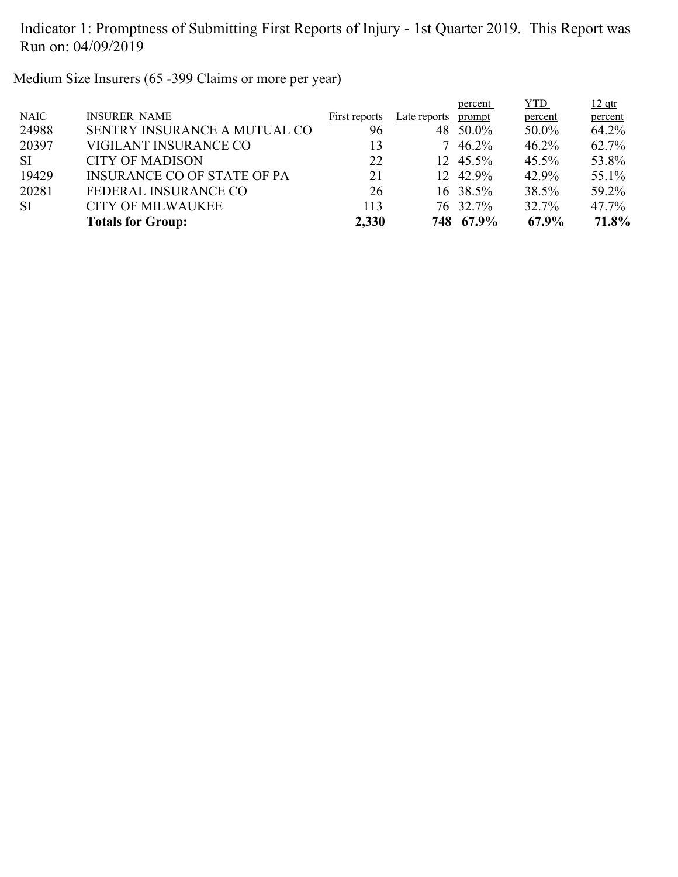Medium Size Insurers (65 -399 Claims or more per year)

|           |                                    |               |              | percent   | <u>YTD</u> | $12$ qtr |
|-----------|------------------------------------|---------------|--------------|-----------|------------|----------|
| NAIC      | <b>INSURER NAME</b>                | First reports | Late reports | prompt    | percent    | percent  |
| 24988     | SENTRY INSURANCE A MUTUAL CO       | 96            |              | 48 50.0%  | $50.0\%$   | 64.2%    |
| 20397     | VIGILANT INSURANCE CO              | 13            |              | 46.2%     | 46.2%      | 62.7%    |
| <b>SI</b> | <b>CITY OF MADISON</b>             | 22            |              | 12 45.5%  | $45.5\%$   | 53.8%    |
| 19429     | <b>INSURANCE CO OF STATE OF PA</b> | 21            |              | 12 42.9%  | 42.9%      | 55.1%    |
| 20281     | FEDERAL INSURANCE CO               | 26            |              | 16 38.5%  | 38.5%      | 59.2%    |
| <b>SI</b> | <b>CITY OF MILWAUKEE</b>           | 113           |              | 76 32.7%  | 32.7%      | $47.7\%$ |
|           | <b>Totals for Group:</b>           | 2,330         |              | 748 67.9% | 67.9%      | 71.8%    |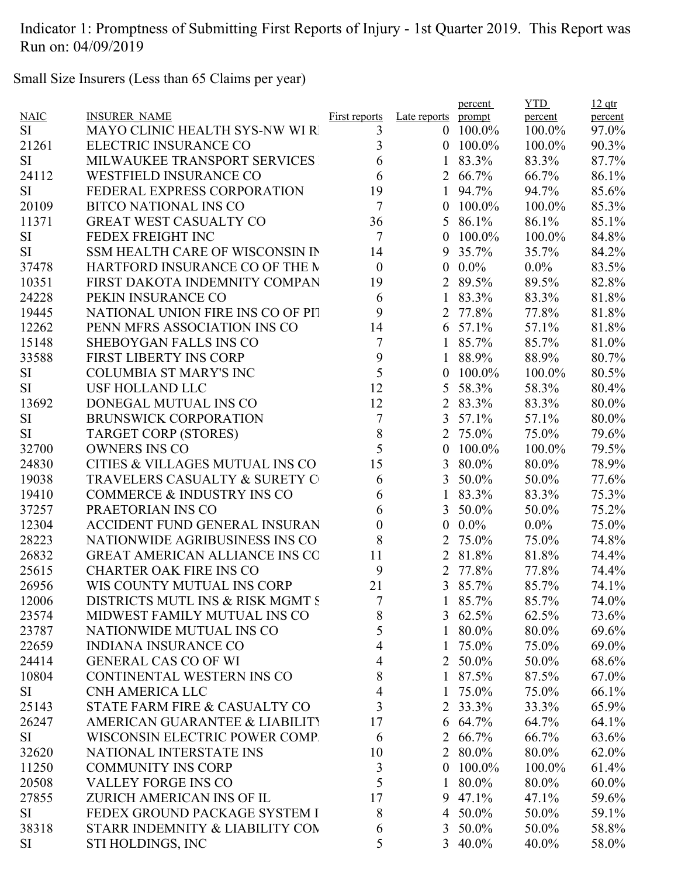Small Size Insurers (Less than 65 Claims per year)

|                |                                       |                      |                   | percent        | <b>YTD</b>     | $12$ qtr          |
|----------------|---------------------------------------|----------------------|-------------------|----------------|----------------|-------------------|
| <b>NAIC</b>    | <b>INSURER NAME</b>                   | <b>First reports</b> | Late reports      | prompt         | percent        | percent           |
| <b>SI</b>      | MAYO CLINIC HEALTH SYS-NW WI R        | 3                    | $\overline{0}$    | 100.0%         | 100.0%         | 97.0%             |
| 21261          | ELECTRIC INSURANCE CO                 | 3                    | $\overline{0}$    | 100.0%         | 100.0%         | 90.3%             |
| <b>SI</b>      | MILWAUKEE TRANSPORT SERVICES          | 6                    | 1                 | 83.3%          | 83.3%          | 87.7%             |
| 24112          | <b>WESTFIELD INSURANCE CO</b>         | 6                    |                   | 2 66.7%        | 66.7%          | 86.1%             |
| <b>SI</b>      | FEDERAL EXPRESS CORPORATION           | 19                   | 1                 | 94.7%          | 94.7%          | 85.6%             |
| 20109          | <b>BITCO NATIONAL INS CO</b>          | $\tau$               | $\boldsymbol{0}$  | 100.0%         | 100.0%         | 85.3%             |
| 11371          | <b>GREAT WEST CASUALTY CO</b>         | 36                   | 5                 | 86.1%          | 86.1%          | 85.1%             |
| <b>SI</b>      | FEDEX FREIGHT INC                     | $\tau$               | $\theta$          | 100.0%         | 100.0%         | 84.8%             |
| <b>SI</b>      | SSM HEALTH CARE OF WISCONSIN IN       | 14                   | 9                 | 35.7%          | 35.7%          | 84.2%             |
| 37478          | HARTFORD INSURANCE CO OF THE M        | $\boldsymbol{0}$     | $\overline{0}$    | $0.0\%$        | $0.0\%$        | 83.5%             |
| 10351          | FIRST DAKOTA INDEMNITY COMPAN         | 19                   |                   | 2 89.5%        | 89.5%          | 82.8%             |
| 24228          | PEKIN INSURANCE CO                    | 6                    | $\mathbf{1}$      | 83.3%          | 83.3%          | 81.8%             |
| 19445          | NATIONAL UNION FIRE INS CO OF PIT     | 9                    | 2                 | 77.8%          | 77.8%          | 81.8%             |
| 12262          | PENN MFRS ASSOCIATION INS CO          | 14                   | 6                 | 57.1%          | 57.1%          | 81.8%             |
| 15148          | <b>SHEBOYGAN FALLS INS CO</b>         | $\boldsymbol{7}$     | 1                 | 85.7%          | 85.7%          | 81.0%             |
| 33588          | <b>FIRST LIBERTY INS CORP</b>         | 9                    | 1                 | 88.9%          | 88.9%          | 80.7%             |
| <b>SI</b>      | <b>COLUMBIA ST MARY'S INC</b>         | 5                    | $\boldsymbol{0}$  | 100.0%         | 100.0%         | 80.5%             |
| <b>SI</b>      | <b>USF HOLLAND LLC</b>                | 12                   | 5                 | 58.3%          | 58.3%          | 80.4%             |
| 13692          | DONEGAL MUTUAL INS CO                 | 12                   |                   | 2 83.3%        | 83.3%          | 80.0%             |
| SI             | <b>BRUNSWICK CORPORATION</b>          | $\boldsymbol{7}$     | 3                 | 57.1%          | 57.1%          | 80.0%             |
| <b>SI</b>      | <b>TARGET CORP (STORES)</b>           | 8                    | $\overline{2}$    | 75.0%          | 75.0%          | 79.6%             |
| 32700          | <b>OWNERS INS CO</b>                  | 5                    | $\boldsymbol{0}$  | 100.0%         | 100.0%         | 79.5%             |
| 24830          | CITIES & VILLAGES MUTUAL INS CO       | 15                   | 3                 | 80.0%          | 80.0%          | 78.9%             |
| 19038          | TRAVELERS CASUALTY & SURETY C         | 6                    | 3                 | 50.0%          | 50.0%          | 77.6%             |
| 19410          | <b>COMMERCE &amp; INDUSTRY INS CO</b> | 6                    | $\mathbf{1}$      | 83.3%          | 83.3%          | 75.3%             |
| 37257          | PRAETORIAN INS CO                     | 6                    | 3                 | 50.0%          | 50.0%          | 75.2%             |
| 12304          | ACCIDENT FUND GENERAL INSURAN         | $\boldsymbol{0}$     | $\boldsymbol{0}$  | $0.0\%$        | $0.0\%$        | 75.0%             |
| 28223          | NATIONWIDE AGRIBUSINESS INS CO        | 8                    | 2                 | 75.0%          | 75.0%          | 74.8%             |
| 26832          | <b>GREAT AMERICAN ALLIANCE INS CO</b> | 11                   | $\overline{2}$    | 81.8%          | 81.8%          | 74.4%             |
| 25615          | <b>CHARTER OAK FIRE INS CO</b>        | 9                    | 2                 | 77.8%          | 77.8%          | 74.4%             |
| 26956          | WIS COUNTY MUTUAL INS CORP            | 21                   |                   | 3 85.7%        | 85.7%          | 74.1%             |
| 12006          | DISTRICTS MUTL INS & RISK MGMT S      | 7                    | $\bf{l}$          | 85.7%          | 85.7%          | 74.0%             |
| 23574          | MIDWEST FAMILY MUTUAL INS CO          | 8                    |                   | 3 $62.5%$      | 62.5%          | 73.6%             |
| 23787          | NATIONWIDE MUTUAL INS CO              | 5                    |                   | 1 80.0%        | 80.0%          | 69.6%             |
| 22659          | <b>INDIANA INSURANCE CO</b>           | 4                    | 1                 | 75.0%          | 75.0%          | 69.0%             |
| 24414          | <b>GENERAL CAS CO OF WI</b>           | 4                    |                   | 2 50.0%        | 50.0%          | 68.6%             |
| 10804          | CONTINENTAL WESTERN INS CO            | 8                    |                   | 1 87.5%        | 87.5%          | 67.0%             |
| SI             | <b>CNH AMERICA LLC</b>                | 4                    | 1                 | 75.0%          | 75.0%          | 66.1%             |
| 25143          | STATE FARM FIRE & CASUALTY CO         | 3                    |                   | 2 33.3%        | 33.3%          | 65.9%             |
| 26247          | AMERICAN GUARANTEE & LIABILITY        | 17                   |                   | 6 64.7%        | 64.7%          | 64.1%             |
| <b>SI</b>      | WISCONSIN ELECTRIC POWER COMP.        | 6                    |                   | 2 66.7%        | 66.7%          | 63.6%             |
| 32620          | NATIONAL INTERSTATE INS               | 10                   |                   | 2 80.0%        | 80.0%          | 62.0%             |
| 11250          | <b>COMMUNITY INS CORP</b>             | $\mathfrak{Z}$       | $\mathbf{0}$      | $100.0\%$      | 100.0%         | 61.4%             |
|                | <b>VALLEY FORGE INS CO</b>            | 5                    |                   |                |                |                   |
| 20508<br>27855 | ZURICH AMERICAN INS OF IL             | 17                   | $\mathbf{1}$<br>9 | 80.0%<br>47.1% | 80.0%<br>47.1% | $60.0\%$<br>59.6% |
| <b>SI</b>      | FEDEX GROUND PACKAGE SYSTEM I         | 8                    |                   | 4 50.0%        | 50.0%          |                   |
|                | STARR INDEMNITY & LIABILITY CON       |                      |                   | 3 50.0%        |                | 59.1%             |
| 38318          |                                       | 6                    |                   |                | 50.0%          | 58.8%             |
| <b>SI</b>      | STI HOLDINGS, INC                     | 5                    |                   | 3 40.0%        | 40.0%          | 58.0%             |